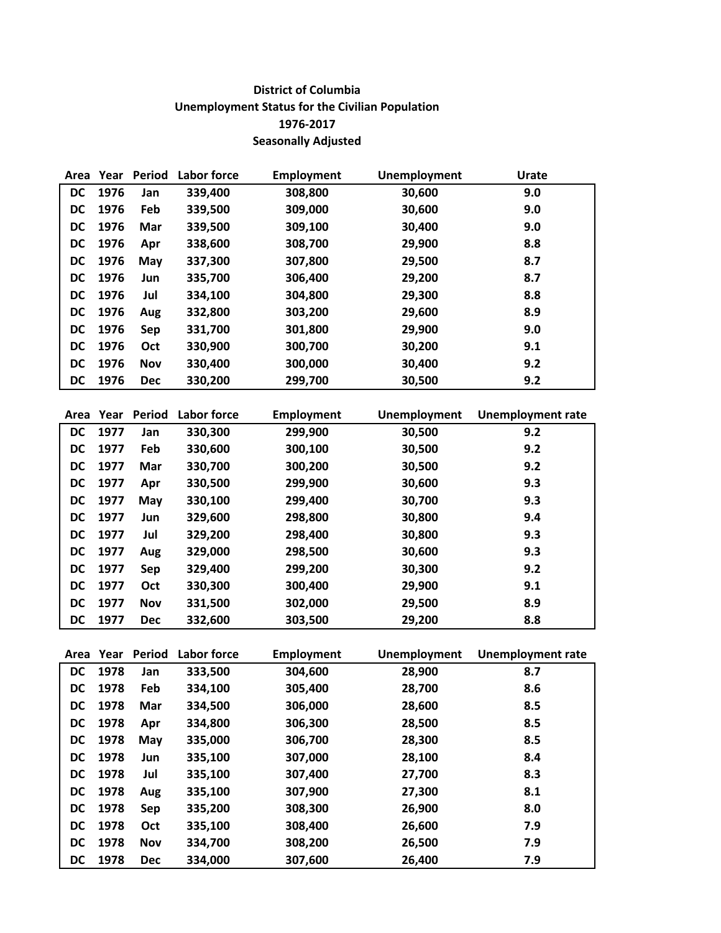## **District of Columbia Unemployment Status for the Civilian Population 1976-2017 Seasonally Adjusted**

| Area      | Year | Period     | Labor force | Employment | <b>Unemployment</b> | <b>Urate</b> |
|-----------|------|------------|-------------|------------|---------------------|--------------|
| <b>DC</b> | 1976 | Jan        | 339,400     | 308,800    | 30,600              | 9.0          |
| DC        | 1976 | Feb        | 339,500     | 309,000    | 30,600              | 9.0          |
| DC        | 1976 | Mar        | 339,500     | 309,100    | 30,400              | 9.0          |
| DC        | 1976 | Apr        | 338,600     | 308,700    | 29,900              | 8.8          |
| DC        | 1976 | May        | 337,300     | 307,800    | 29,500              | 8.7          |
| DC        | 1976 | Jun        | 335,700     | 306,400    | 29,200              | 8.7          |
| DC        | 1976 | Jul        | 334,100     | 304,800    | 29,300              | 8.8          |
| DC        | 1976 | Aug        | 332,800     | 303,200    | 29,600              | 8.9          |
| DC        | 1976 | Sep        | 331,700     | 301,800    | 29,900              | 9.0          |
| DC        | 1976 | Oct        | 330,900     | 300,700    | 30,200              | 9.1          |
| DC        | 1976 | <b>Nov</b> | 330,400     | 300,000    | 30,400              | 9.2          |
| DC        | 1976 | <b>Dec</b> | 330,200     | 299,700    | 30,500              | 9.2          |

| Area      | Year | Period     | Labor force | <b>Employment</b> | Unemployment | <b>Unemployment rate</b> |
|-----------|------|------------|-------------|-------------------|--------------|--------------------------|
| DC        | 1977 | Jan        | 330,300     | 299,900           | 30,500       | 9.2                      |
| DC        | 1977 | Feb        | 330,600     | 300,100           | 30,500       | 9.2                      |
| DC        | 1977 | Mar        | 330,700     | 300,200           | 30,500       | 9.2                      |
| DC        | 1977 | Apr        | 330,500     | 299,900           | 30,600       | 9.3                      |
| DC        | 1977 | May        | 330,100     | 299,400           | 30,700       | 9.3                      |
| DC        | 1977 | Jun        | 329,600     | 298,800           | 30,800       | 9.4                      |
| DC        | 1977 | Jul        | 329,200     | 298,400           | 30,800       | 9.3                      |
| DC        | 1977 | Aug        | 329,000     | 298,500           | 30,600       | 9.3                      |
| DC        | 1977 | Sep        | 329,400     | 299,200           | 30,300       | 9.2                      |
| <b>DC</b> | 1977 | Oct        | 330,300     | 300,400           | 29,900       | 9.1                      |
| <b>DC</b> | 1977 | <b>Nov</b> | 331,500     | 302,000           | 29,500       | 8.9                      |
| <b>DC</b> | 1977 | <b>Dec</b> | 332,600     | 303,500           | 29,200       | 8.8                      |

| Area      | Year | Period     | Labor force | <b>Employment</b> | <b>Unemployment</b> | <b>Unemployment rate</b> |
|-----------|------|------------|-------------|-------------------|---------------------|--------------------------|
| <b>DC</b> | 1978 | Jan        | 333,500     | 304,600           | 28,900              | 8.7                      |
| DC        | 1978 | Feb        | 334,100     | 305,400           | 28,700              | 8.6                      |
| <b>DC</b> | 1978 | Mar        | 334,500     | 306,000           | 28,600              | 8.5                      |
| DC.       | 1978 | Apr        | 334,800     | 306,300           | 28,500              | 8.5                      |
| <b>DC</b> | 1978 | May        | 335,000     | 306,700           | 28,300              | 8.5                      |
| <b>DC</b> | 1978 | Jun        | 335,100     | 307,000           | 28,100              | 8.4                      |
| DC        | 1978 | Jul        | 335,100     | 307,400           | 27,700              | 8.3                      |
| <b>DC</b> | 1978 | Aug        | 335,100     | 307,900           | 27,300              | 8.1                      |
| DC        | 1978 | Sep        | 335,200     | 308,300           | 26,900              | 8.0                      |
| <b>DC</b> | 1978 | Oct        | 335,100     | 308,400           | 26,600              | 7.9                      |
| <b>DC</b> | 1978 | <b>Nov</b> | 334,700     | 308,200           | 26,500              | 7.9                      |
| DC        | 1978 | <b>Dec</b> | 334,000     | 307,600           | 26,400              | 7.9                      |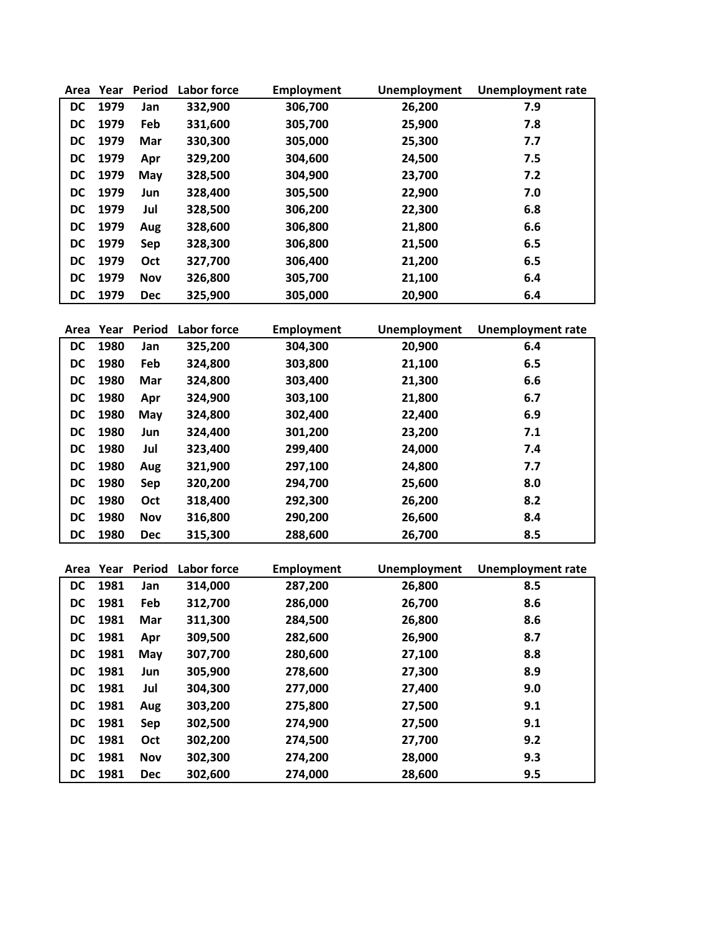| Area      | Year | Period     | <b>Labor force</b> | Employment | <b>Unemployment</b> | <b>Unemployment rate</b> |
|-----------|------|------------|--------------------|------------|---------------------|--------------------------|
| <b>DC</b> | 1979 | Jan        | 332,900            | 306,700    | 26,200              | 7.9                      |
| DC        | 1979 | Feb        | 331,600            | 305,700    | 25,900              | 7.8                      |
| DC        | 1979 | Mar        | 330,300            | 305,000    | 25,300              | 7.7                      |
| DC        | 1979 | Apr        | 329,200            | 304,600    | 24,500              | 7.5                      |
| DC        | 1979 | May        | 328,500            | 304,900    | 23,700              | 7.2                      |
| DC        | 1979 | Jun        | 328,400            | 305,500    | 22,900              | 7.0                      |
| DC        | 1979 | Jul        | 328,500            | 306,200    | 22,300              | 6.8                      |
| DC        | 1979 | Aug        | 328,600            | 306,800    | 21,800              | 6.6                      |
| DC        | 1979 | Sep        | 328,300            | 306,800    | 21,500              | 6.5                      |
| <b>DC</b> | 1979 | Oct        | 327,700            | 306,400    | 21,200              | 6.5                      |
| <b>DC</b> | 1979 | <b>Nov</b> | 326,800            | 305,700    | 21,100              | 6.4                      |
| DC        | 1979 | <b>Dec</b> | 325,900            | 305,000    | 20,900              | 6.4                      |
|           |      |            |                    |            |                     |                          |

| Area      | Year | Period     | Labor force | <b>Employment</b> | <b>Unemployment</b> | <b>Unemployment rate</b> |
|-----------|------|------------|-------------|-------------------|---------------------|--------------------------|
| DC        | 1980 | Jan        | 325,200     | 304,300           | 20,900              | 6.4                      |
| DC        | 1980 | Feb        | 324,800     | 303,800           | 21,100              | 6.5                      |
| DC        | 1980 | Mar        | 324,800     | 303,400           | 21,300              | 6.6                      |
| DC        | 1980 | Apr        | 324,900     | 303,100           | 21,800              | 6.7                      |
| DC        | 1980 | May        | 324,800     | 302,400           | 22,400              | 6.9                      |
| <b>DC</b> | 1980 | Jun        | 324.400     | 301,200           | 23,200              | 7.1                      |
| DC        | 1980 | Jul        | 323,400     | 299,400           | 24,000              | 7.4                      |
| DC        | 1980 | Aug        | 321,900     | 297,100           | 24,800              | 7.7                      |
| DC        | 1980 | Sep        | 320,200     | 294,700           | 25,600              | 8.0                      |
| <b>DC</b> | 1980 | Oct        | 318,400     | 292,300           | 26,200              | 8.2                      |
| <b>DC</b> | 1980 | Nov        | 316,800     | 290,200           | 26,600              | 8.4                      |
| <b>DC</b> | 1980 | <b>Dec</b> | 315,300     | 288,600           | 26,700              | 8.5                      |

| Area      | Year | Period     | Labor force | <b>Employment</b> | Unemployment | <b>Unemployment rate</b> |
|-----------|------|------------|-------------|-------------------|--------------|--------------------------|
| <b>DC</b> | 1981 | Jan        | 314,000     | 287,200           | 26,800       | 8.5                      |
| <b>DC</b> | 1981 | Feb        | 312,700     | 286,000           | 26,700       | 8.6                      |
| DC        | 1981 | Mar        | 311,300     | 284,500           | 26,800       | 8.6                      |
| DC        | 1981 | Apr        | 309,500     | 282,600           | 26,900       | 8.7                      |
| DC        | 1981 | May        | 307,700     | 280,600           | 27,100       | 8.8                      |
| <b>DC</b> | 1981 | Jun        | 305,900     | 278,600           | 27,300       | 8.9                      |
| DC.       | 1981 | Jul        | 304,300     | 277,000           | 27,400       | 9.0                      |
| <b>DC</b> | 1981 | Aug        | 303,200     | 275,800           | 27,500       | 9.1                      |
| DC        | 1981 | Sep        | 302,500     | 274,900           | 27,500       | 9.1                      |
| DC        | 1981 | Oct        | 302,200     | 274,500           | 27,700       | 9.2                      |
| DC        | 1981 | Nov        | 302,300     | 274,200           | 28,000       | 9.3                      |
| DC        | 1981 | <b>Dec</b> | 302,600     | 274,000           | 28,600       | 9.5                      |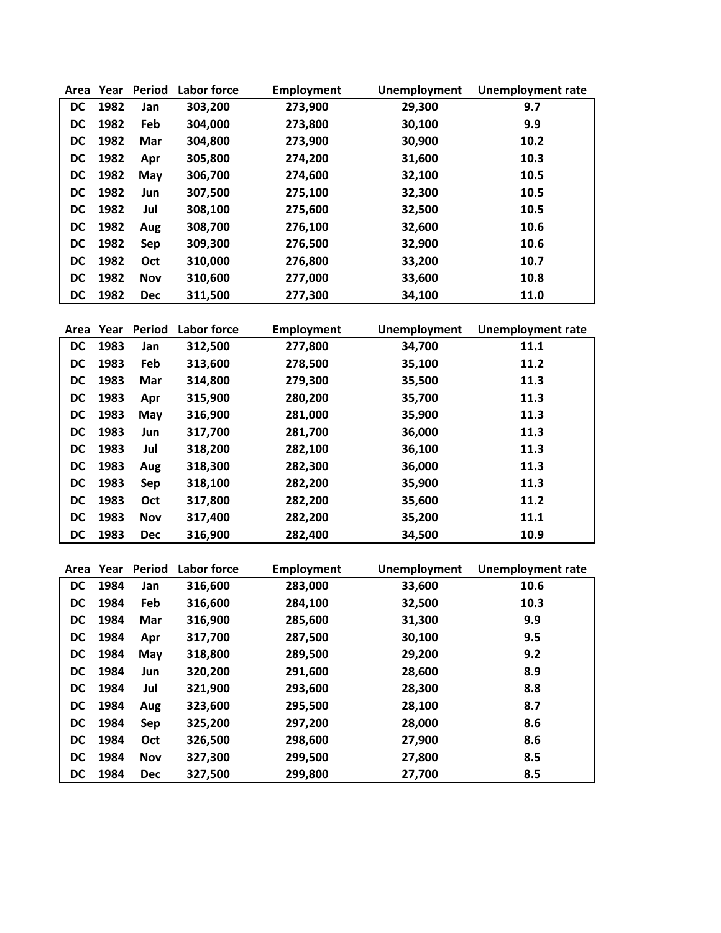| Area      | Year | <b>Period</b> | Labor force | Employment | <b>Unemployment</b> | <b>Unemployment rate</b> |
|-----------|------|---------------|-------------|------------|---------------------|--------------------------|
| DC        | 1982 | Jan           | 303,200     | 273,900    | 29,300              | 9.7                      |
| <b>DC</b> | 1982 | Feb           | 304,000     | 273,800    | 30,100              | 9.9                      |
| DC        | 1982 | Mar           | 304,800     | 273,900    | 30,900              | 10.2                     |
| DC        | 1982 | Apr           | 305,800     | 274,200    | 31,600              | 10.3                     |
| DC        | 1982 | May           | 306,700     | 274,600    | 32,100              | 10.5                     |
| DC        | 1982 | Jun           | 307,500     | 275,100    | 32,300              | 10.5                     |
| DC        | 1982 | Jul           | 308,100     | 275,600    | 32,500              | 10.5                     |
| DC        | 1982 | Aug           | 308,700     | 276,100    | 32,600              | 10.6                     |
| <b>DC</b> | 1982 | Sep           | 309,300     | 276,500    | 32,900              | 10.6                     |
| <b>DC</b> | 1982 | <b>Oct</b>    | 310,000     | 276,800    | 33,200              | 10.7                     |
| DC        | 1982 | <b>Nov</b>    | 310,600     | 277,000    | 33,600              | 10.8                     |
| <b>DC</b> | 1982 | <b>Dec</b>    | 311,500     | 277,300    | 34,100              | 11.0                     |

| Area      | Year | Period     | Labor force | <b>Employment</b> | <b>Unemployment</b> | <b>Unemployment rate</b> |
|-----------|------|------------|-------------|-------------------|---------------------|--------------------------|
| <b>DC</b> | 1983 | Jan        | 312,500     | 277,800           | 34,700              | 11.1                     |
| <b>DC</b> | 1983 | Feb        | 313,600     | 278,500           | 35,100              | 11.2                     |
| <b>DC</b> | 1983 | Mar        | 314,800     | 279,300           | 35,500              | 11.3                     |
| DC        | 1983 | Apr        | 315,900     | 280,200           | 35,700              | 11.3                     |
| DC        | 1983 | May        | 316,900     | 281,000           | 35,900              | 11.3                     |
| DC        | 1983 | Jun        | 317,700     | 281,700           | 36,000              | 11.3                     |
| <b>DC</b> | 1983 | Jul        | 318,200     | 282,100           | 36,100              | 11.3                     |
| DC        | 1983 | Aug        | 318,300     | 282,300           | 36,000              | 11.3                     |
| DC        | 1983 | Sep        | 318,100     | 282,200           | 35,900              | 11.3                     |
| <b>DC</b> | 1983 | Oct        | 317,800     | 282,200           | 35,600              | 11.2                     |
| <b>DC</b> | 1983 | <b>Nov</b> | 317,400     | 282,200           | 35,200              | 11.1                     |
| <b>DC</b> | 1983 | <b>Dec</b> | 316,900     | 282,400           | 34,500              | 10.9                     |

| Area      | Year | <b>Period</b> | Labor force | <b>Employment</b> | Unemployment | <b>Unemployment rate</b> |
|-----------|------|---------------|-------------|-------------------|--------------|--------------------------|
| DC        | 1984 | Jan           | 316,600     | 283,000           | 33,600       | 10.6                     |
| DC        | 1984 | Feb           | 316,600     | 284,100           | 32,500       | 10.3                     |
| DC        | 1984 | Mar           | 316,900     | 285,600           | 31,300       | 9.9                      |
| DC        | 1984 | Apr           | 317,700     | 287,500           | 30,100       | 9.5                      |
| DC        | 1984 | May           | 318,800     | 289,500           | 29,200       | 9.2                      |
| <b>DC</b> | 1984 | Jun           | 320,200     | 291,600           | 28,600       | 8.9                      |
| DC        | 1984 | Jul           | 321,900     | 293,600           | 28,300       | 8.8                      |
| DC        | 1984 | Aug           | 323,600     | 295,500           | 28,100       | 8.7                      |
| DC        | 1984 | <b>Sep</b>    | 325,200     | 297,200           | 28,000       | 8.6                      |
| <b>DC</b> | 1984 | Oct           | 326,500     | 298,600           | 27,900       | 8.6                      |
| DC        | 1984 | Nov           | 327,300     | 299,500           | 27,800       | 8.5                      |
| DC        | 1984 | <b>Dec</b>    | 327,500     | 299,800           | 27,700       | 8.5                      |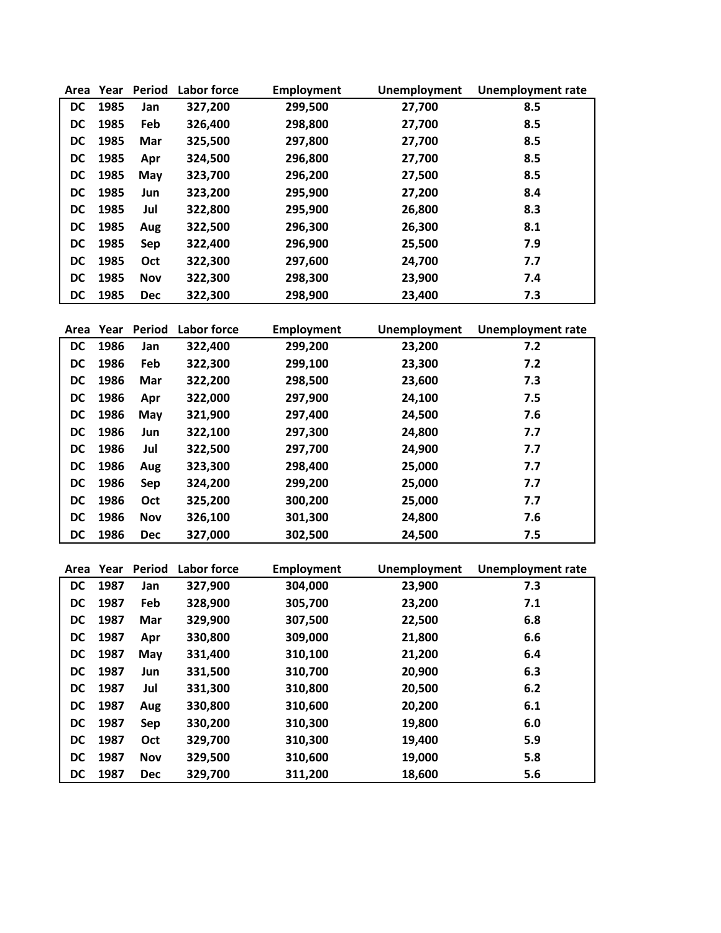| Area      | Year | <b>Period</b> | <b>Labor force</b> | <b>Employment</b> | <b>Unemployment</b> | <b>Unemployment rate</b> |
|-----------|------|---------------|--------------------|-------------------|---------------------|--------------------------|
| DC        | 1985 | Jan           | 327,200            | 299,500           | 27,700              | 8.5                      |
| DC        | 1985 | Feb           | 326,400            | 298,800           | 27,700              | 8.5                      |
| DC        | 1985 | Mar           | 325,500            | 297,800           | 27,700              | 8.5                      |
| DC        | 1985 | Apr           | 324,500            | 296,800           | 27,700              | 8.5                      |
| DC        | 1985 | May           | 323,700            | 296,200           | 27,500              | 8.5                      |
| DC        | 1985 | Jun           | 323,200            | 295,900           | 27,200              | 8.4                      |
| DC        | 1985 | Jul           | 322,800            | 295,900           | 26,800              | 8.3                      |
| DC        | 1985 | Aug           | 322,500            | 296,300           | 26,300              | 8.1                      |
| DC        | 1985 | Sep           | 322,400            | 296,900           | 25,500              | 7.9                      |
| DC        | 1985 | Oct           | 322,300            | 297,600           | 24,700              | 7.7                      |
| <b>DC</b> | 1985 | Nov           | 322,300            | 298,300           | 23,900              | 7.4                      |
| <b>DC</b> | 1985 | <b>Dec</b>    | 322,300            | 298,900           | 23,400              | 7.3                      |

| Area      | Year | Period     | <b>Labor force</b> | <b>Employment</b> | <b>Unemployment</b> | <b>Unemployment rate</b> |
|-----------|------|------------|--------------------|-------------------|---------------------|--------------------------|
| <b>DC</b> | 1986 | Jan        | 322,400            | 299,200           | 23,200              | 7.2                      |
| DC        | 1986 | Feb        | 322,300            | 299,100           | 23,300              | 7.2                      |
| <b>DC</b> | 1986 | Mar        | 322,200            | 298,500           | 23,600              | 7.3                      |
| DC        | 1986 | Apr        | 322,000            | 297,900           | 24,100              | 7.5                      |
| DC        | 1986 | May        | 321,900            | 297,400           | 24,500              | 7.6                      |
| DC        | 1986 | Jun        | 322,100            | 297,300           | 24,800              | 7.7                      |
| <b>DC</b> | 1986 | Jul        | 322,500            | 297,700           | 24,900              | 7.7                      |
| DC        | 1986 | Aug        | 323,300            | 298,400           | 25,000              | 7.7                      |
| DC        | 1986 | <b>Sep</b> | 324,200            | 299,200           | 25,000              | 7.7                      |
| DC        | 1986 | Oct        | 325,200            | 300,200           | 25,000              | 7.7                      |
| <b>DC</b> | 1986 | <b>Nov</b> | 326,100            | 301,300           | 24,800              | 7.6                      |
| <b>DC</b> | 1986 | <b>Dec</b> | 327,000            | 302,500           | 24,500              | 7.5                      |

| Area      | Year | <b>Period</b> | Labor force | <b>Employment</b> | Unemployment | <b>Unemployment rate</b> |
|-----------|------|---------------|-------------|-------------------|--------------|--------------------------|
| DC        | 1987 | Jan           | 327,900     | 304,000           | 23,900       | 7.3                      |
| DC        | 1987 | Feb           | 328,900     | 305,700           | 23,200       | 7.1                      |
| DC        | 1987 | Mar           | 329,900     | 307,500           | 22,500       | 6.8                      |
| DC        | 1987 | Apr           | 330,800     | 309,000           | 21,800       | 6.6                      |
| DC        | 1987 | May           | 331,400     | 310,100           | 21,200       | 6.4                      |
| <b>DC</b> | 1987 | Jun           | 331,500     | 310,700           | 20,900       | 6.3                      |
| <b>DC</b> | 1987 | Jul           | 331,300     | 310,800           | 20,500       | 6.2                      |
| DC        | 1987 | Aug           | 330,800     | 310,600           | 20,200       | 6.1                      |
| DC        | 1987 | Sep           | 330,200     | 310,300           | 19,800       | 6.0                      |
| DC        | 1987 | Oct           | 329,700     | 310,300           | 19,400       | 5.9                      |
| DC        | 1987 | <b>Nov</b>    | 329,500     | 310,600           | 19,000       | 5.8                      |
| DC        | 1987 | <b>Dec</b>    | 329,700     | 311,200           | 18,600       | 5.6                      |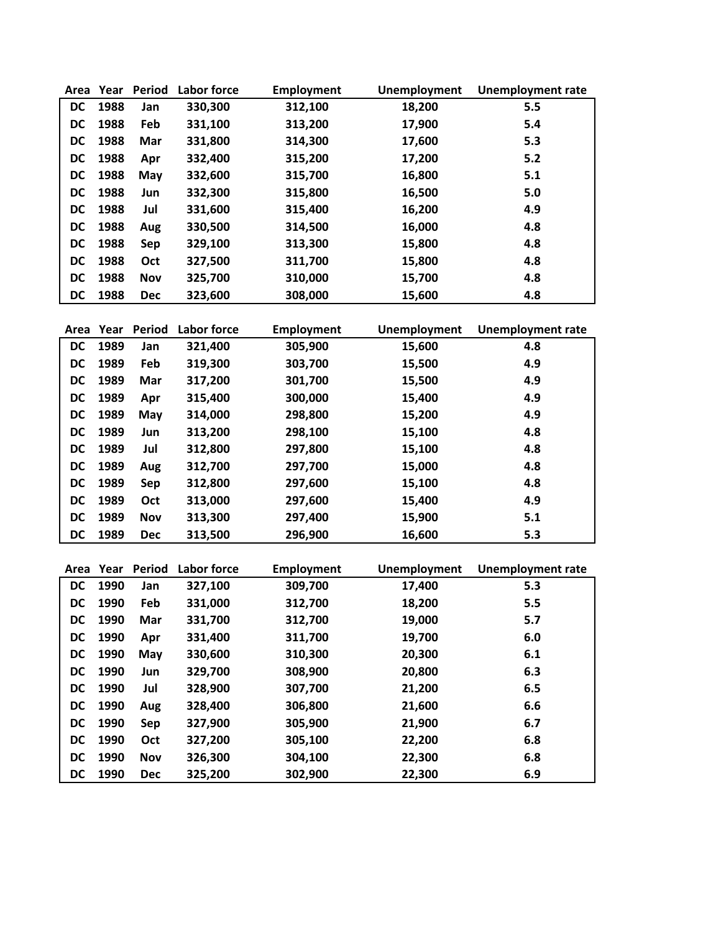| Area      | Year | Period     | Labor force | <b>Employment</b> | Unemployment | <b>Unemployment rate</b> |
|-----------|------|------------|-------------|-------------------|--------------|--------------------------|
| DC.       | 1988 | Jan        | 330,300     | 312,100           | 18,200       | 5.5                      |
| DC        | 1988 | Feb        | 331,100     | 313,200           | 17,900       | 5.4                      |
| DC        | 1988 | Mar        | 331,800     | 314,300           | 17,600       | 5.3                      |
| DC        | 1988 | Apr        | 332,400     | 315,200           | 17,200       | 5.2                      |
| DC        | 1988 | May        | 332,600     | 315,700           | 16,800       | 5.1                      |
| DC        | 1988 | Jun        | 332,300     | 315,800           | 16,500       | 5.0                      |
| <b>DC</b> | 1988 | Jul        | 331,600     | 315,400           | 16,200       | 4.9                      |
| DC        | 1988 | Aug        | 330,500     | 314,500           | 16,000       | 4.8                      |
| DC        | 1988 | Sep        | 329,100     | 313,300           | 15,800       | 4.8                      |
| DC        | 1988 | Oct        | 327,500     | 311,700           | 15,800       | 4.8                      |
| DC        | 1988 | <b>Nov</b> | 325,700     | 310,000           | 15,700       | 4.8                      |
| DC        | 1988 | <b>Dec</b> | 323,600     | 308,000           | 15,600       | 4.8                      |

| Area      | Year | Period     | Labor force | Employment | Unemployment | <b>Unemployment rate</b> |
|-----------|------|------------|-------------|------------|--------------|--------------------------|
| DC        | 1989 | Jan        | 321,400     | 305,900    | 15,600       | 4.8                      |
| DC        | 1989 | Feb        | 319,300     | 303,700    | 15,500       | 4.9                      |
| DC        | 1989 | Mar        | 317,200     | 301,700    | 15,500       | 4.9                      |
| DC        | 1989 | Apr        | 315,400     | 300,000    | 15,400       | 4.9                      |
| DC        | 1989 | May        | 314,000     | 298,800    | 15,200       | 4.9                      |
| DC        | 1989 | Jun        | 313,200     | 298,100    | 15,100       | 4.8                      |
| DC        | 1989 | Jul        | 312,800     | 297,800    | 15,100       | 4.8                      |
| DC        | 1989 | Aug        | 312,700     | 297,700    | 15,000       | 4.8                      |
| DC        | 1989 | Sep        | 312,800     | 297,600    | 15,100       | 4.8                      |
| <b>DC</b> | 1989 | Oct        | 313,000     | 297,600    | 15,400       | 4.9                      |
| DC        | 1989 | <b>Nov</b> | 313,300     | 297,400    | 15,900       | 5.1                      |
| <b>DC</b> | 1989 | <b>Dec</b> | 313,500     | 296,900    | 16,600       | 5.3                      |

| Area      | Year | Period     | Labor force | <b>Employment</b> | <b>Unemployment</b> | <b>Unemployment rate</b> |
|-----------|------|------------|-------------|-------------------|---------------------|--------------------------|
| <b>DC</b> | 1990 | Jan        | 327,100     | 309,700           | 17,400              | 5.3                      |
| DC        | 1990 | Feb        | 331,000     | 312,700           | 18,200              | 5.5                      |
| DC        | 1990 | Mar        | 331,700     | 312,700           | 19,000              | 5.7                      |
| DC        | 1990 | Apr        | 331,400     | 311,700           | 19,700              | 6.0                      |
| DC        | 1990 | May        | 330,600     | 310,300           | 20,300              | 6.1                      |
| <b>DC</b> | 1990 | Jun        | 329,700     | 308,900           | 20,800              | 6.3                      |
| DC        | 1990 | Jul        | 328,900     | 307,700           | 21,200              | 6.5                      |
| <b>DC</b> | 1990 | Aug        | 328,400     | 306,800           | 21,600              | 6.6                      |
| DC        | 1990 | Sep        | 327,900     | 305,900           | 21,900              | 6.7                      |
| <b>DC</b> | 1990 | Oct        | 327,200     | 305,100           | 22,200              | 6.8                      |
| <b>DC</b> | 1990 | <b>Nov</b> | 326,300     | 304,100           | 22,300              | 6.8                      |
| <b>DC</b> | 1990 | <b>Dec</b> | 325,200     | 302,900           | 22,300              | 6.9                      |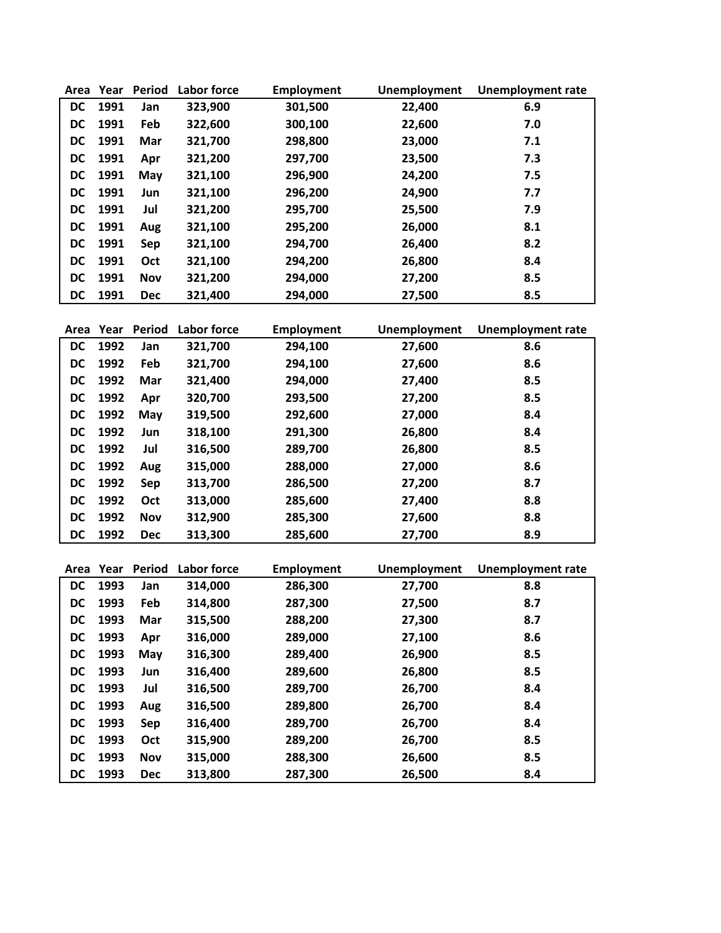| Area | Year | Period     | Labor force | <b>Employment</b> | <b>Unemployment</b> | <b>Unemployment rate</b> |
|------|------|------------|-------------|-------------------|---------------------|--------------------------|
| DC.  | 1991 | Jan        | 323,900     | 301,500           | 22,400              | 6.9                      |
| DC   | 1991 | Feb        | 322,600     | 300,100           | 22,600              | 7.0                      |
| DC   | 1991 | Mar        | 321,700     | 298,800           | 23,000              | 7.1                      |
| DC   | 1991 | Apr        | 321,200     | 297,700           | 23,500              | 7.3                      |
| DC   | 1991 | May        | 321,100     | 296,900           | 24,200              | 7.5                      |
| DC   | 1991 | Jun        | 321,100     | 296,200           | 24,900              | 7.7                      |
| DC   | 1991 | Jul        | 321,200     | 295,700           | 25,500              | 7.9                      |
| DC   | 1991 | Aug        | 321,100     | 295,200           | 26,000              | 8.1                      |
| DC   | 1991 | Sep        | 321,100     | 294,700           | 26,400              | 8.2                      |
| DC   | 1991 | Oct        | 321,100     | 294,200           | 26,800              | 8.4                      |
| DC   | 1991 | <b>Nov</b> | 321,200     | 294,000           | 27,200              | 8.5                      |
| DC   | 1991 | <b>Dec</b> | 321,400     | 294,000           | 27,500              | 8.5                      |

| Area      | Year | Period     | Labor force | <b>Employment</b> | Unemployment | <b>Unemployment rate</b> |
|-----------|------|------------|-------------|-------------------|--------------|--------------------------|
| <b>DC</b> | 1992 | Jan        | 321,700     | 294,100           | 27,600       | 8.6                      |
| <b>DC</b> | 1992 | Feb        | 321,700     | 294,100           | 27,600       | 8.6                      |
| <b>DC</b> | 1992 | Mar        | 321,400     | 294,000           | 27,400       | 8.5                      |
| DC        | 1992 | Apr        | 320,700     | 293,500           | 27,200       | 8.5                      |
| DC        | 1992 | May        | 319,500     | 292,600           | 27,000       | 8.4                      |
| <b>DC</b> | 1992 | Jun        | 318,100     | 291,300           | 26,800       | 8.4                      |
| <b>DC</b> | 1992 | Jul        | 316,500     | 289,700           | 26,800       | 8.5                      |
| <b>DC</b> | 1992 | Aug        | 315,000     | 288,000           | 27,000       | 8.6                      |
| DC        | 1992 | Sep        | 313,700     | 286,500           | 27,200       | 8.7                      |
| <b>DC</b> | 1992 | Oct        | 313,000     | 285,600           | 27,400       | 8.8                      |
| <b>DC</b> | 1992 | <b>Nov</b> | 312,900     | 285,300           | 27,600       | 8.8                      |
| <b>DC</b> | 1992 | <b>Dec</b> | 313,300     | 285,600           | 27,700       | 8.9                      |

| Area      | Year | Period     | Labor force | <b>Employment</b> | <b>Unemployment</b> | <b>Unemployment rate</b> |
|-----------|------|------------|-------------|-------------------|---------------------|--------------------------|
| <b>DC</b> | 1993 | Jan        | 314,000     | 286,300           | 27,700              | 8.8                      |
| <b>DC</b> | 1993 | Feb        | 314,800     | 287,300           | 27,500              | 8.7                      |
| <b>DC</b> | 1993 | Mar        | 315,500     | 288,200           | 27,300              | 8.7                      |
| <b>DC</b> | 1993 | Apr        | 316,000     | 289,000           | 27,100              | 8.6                      |
| <b>DC</b> | 1993 | May        | 316,300     | 289,400           | 26,900              | 8.5                      |
| <b>DC</b> | 1993 | Jun        | 316,400     | 289,600           | 26,800              | 8.5                      |
| <b>DC</b> | 1993 | Jul        | 316,500     | 289,700           | 26,700              | 8.4                      |
| DC        | 1993 | Aug        | 316,500     | 289,800           | 26,700              | 8.4                      |
| <b>DC</b> | 1993 | <b>Sep</b> | 316,400     | 289,700           | 26,700              | 8.4                      |
| <b>DC</b> | 1993 | Oct        | 315,900     | 289,200           | 26,700              | 8.5                      |
| <b>DC</b> | 1993 | <b>Nov</b> | 315,000     | 288,300           | 26,600              | 8.5                      |
| DC        | 1993 | <b>Dec</b> | 313,800     | 287,300           | 26,500              | 8.4                      |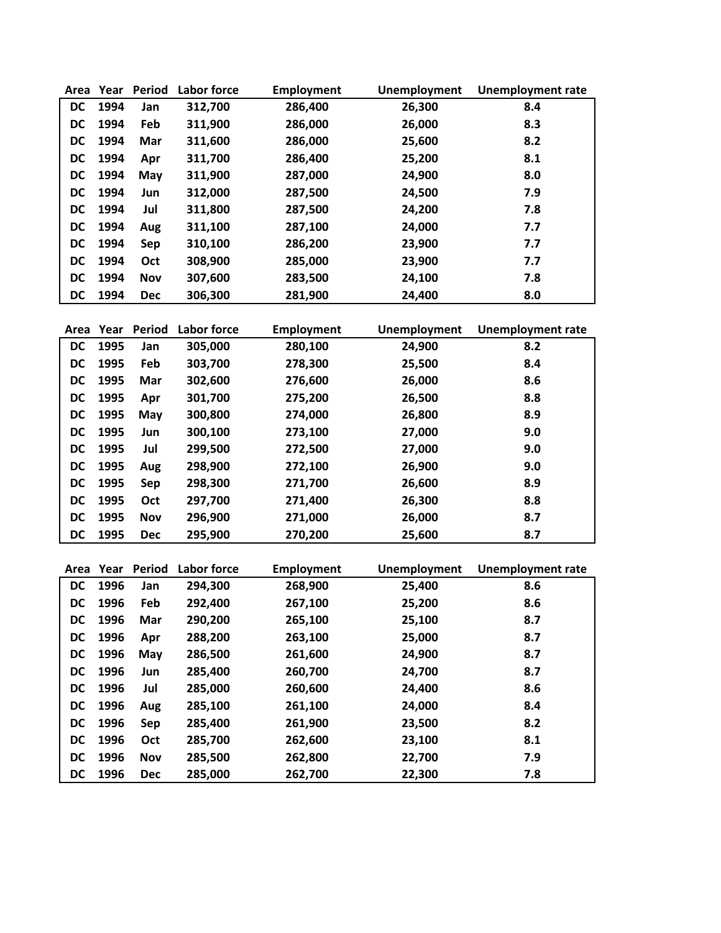| Area      | Year | <b>Period</b> | Labor force | Employment | <b>Unemployment</b> | <b>Unemployment rate</b> |
|-----------|------|---------------|-------------|------------|---------------------|--------------------------|
| DC        | 1994 | Jan           | 312,700     | 286,400    | 26,300              | 8.4                      |
| DC        | 1994 | Feb           | 311,900     | 286,000    | 26,000              | 8.3                      |
| DC        | 1994 | Mar           | 311,600     | 286,000    | 25,600              | 8.2                      |
| DC        | 1994 | Apr           | 311,700     | 286,400    | 25,200              | 8.1                      |
| DC        | 1994 | May           | 311,900     | 287,000    | 24,900              | 8.0                      |
| DC        | 1994 | Jun           | 312,000     | 287,500    | 24,500              | 7.9                      |
| DC        | 1994 | Jul           | 311,800     | 287,500    | 24,200              | 7.8                      |
| DC        | 1994 | Aug           | 311,100     | 287,100    | 24,000              | 7.7                      |
| DC        | 1994 | Sep           | 310,100     | 286,200    | 23,900              | 7.7                      |
| <b>DC</b> | 1994 | Oct           | 308,900     | 285,000    | 23,900              | 7.7                      |
| DC        | 1994 | <b>Nov</b>    | 307,600     | 283,500    | 24,100              | 7.8                      |
| <b>DC</b> | 1994 | <b>Dec</b>    | 306,300     | 281,900    | 24,400              | 8.0                      |

| Area      | Year | Period     | Labor force | <b>Employment</b> | <b>Unemployment</b> | <b>Unemployment rate</b> |
|-----------|------|------------|-------------|-------------------|---------------------|--------------------------|
| <b>DC</b> | 1995 | Jan        | 305,000     | 280,100           | 24,900              | 8.2                      |
| <b>DC</b> | 1995 | Feb        | 303,700     | 278,300           | 25,500              | 8.4                      |
| <b>DC</b> | 1995 | Mar        | 302,600     | 276,600           | 26,000              | 8.6                      |
| <b>DC</b> | 1995 | Apr        | 301,700     | 275,200           | 26,500              | 8.8                      |
| DC        | 1995 | May        | 300,800     | 274,000           | 26,800              | 8.9                      |
| <b>DC</b> | 1995 | Jun        | 300,100     | 273,100           | 27,000              | 9.0                      |
| <b>DC</b> | 1995 | Jul        | 299,500     | 272,500           | 27,000              | 9.0                      |
| DC        | 1995 | Aug        | 298,900     | 272,100           | 26,900              | 9.0                      |
| DC        | 1995 | Sep        | 298,300     | 271,700           | 26,600              | 8.9                      |
| <b>DC</b> | 1995 | Oct        | 297,700     | 271,400           | 26,300              | 8.8                      |
| <b>DC</b> | 1995 | <b>Nov</b> | 296,900     | 271,000           | 26,000              | 8.7                      |
| <b>DC</b> | 1995 | <b>Dec</b> | 295,900     | 270,200           | 25,600              | 8.7                      |

| Area      | Year | <b>Period</b> | Labor force | <b>Employment</b> | Unemployment | <b>Unemployment rate</b> |
|-----------|------|---------------|-------------|-------------------|--------------|--------------------------|
| DC.       | 1996 | Jan           | 294,300     | 268,900           | 25,400       | 8.6                      |
| DC        | 1996 | Feb           | 292,400     | 267,100           | 25,200       | 8.6                      |
| DC        | 1996 | Mar           | 290,200     | 265,100           | 25,100       | 8.7                      |
| DC        | 1996 | Apr           | 288,200     | 263,100           | 25,000       | 8.7                      |
| DC        | 1996 | May           | 286,500     | 261,600           | 24,900       | 8.7                      |
| <b>DC</b> | 1996 | Jun           | 285,400     | 260,700           | 24,700       | 8.7                      |
| DC        | 1996 | Jul           | 285,000     | 260,600           | 24,400       | 8.6                      |
| <b>DC</b> | 1996 | Aug           | 285,100     | 261,100           | 24,000       | 8.4                      |
| DC        | 1996 | Sep           | 285,400     | 261,900           | 23,500       | 8.2                      |
| <b>DC</b> | 1996 | Oct           | 285,700     | 262,600           | 23,100       | 8.1                      |
| DC        | 1996 | <b>Nov</b>    | 285,500     | 262,800           | 22,700       | 7.9                      |
| <b>DC</b> | 1996 | <b>Dec</b>    | 285,000     | 262,700           | 22,300       | 7.8                      |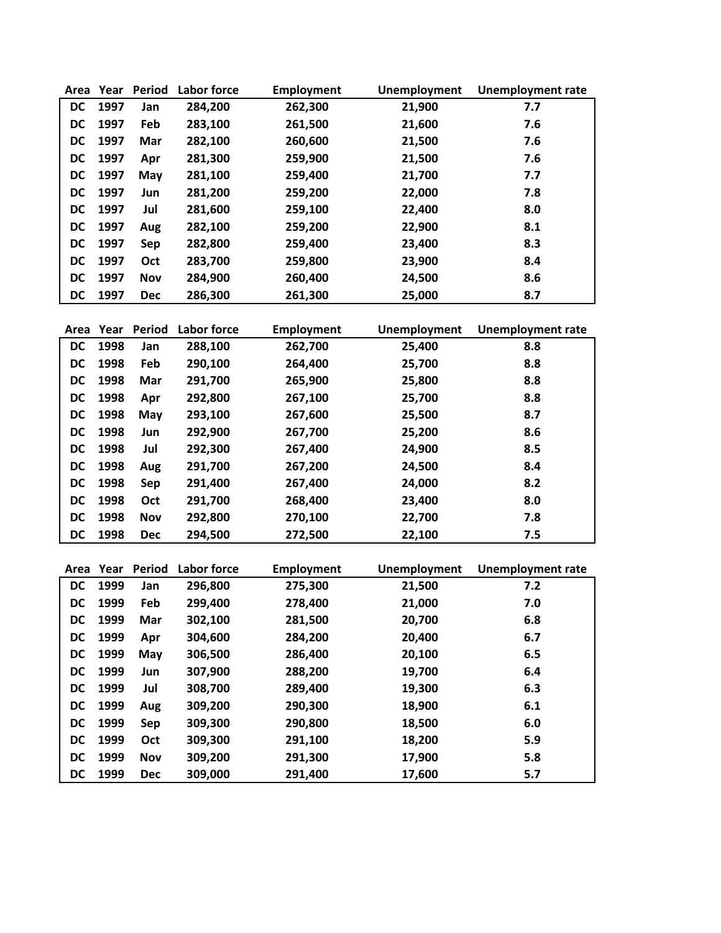| Area      | Year | <b>Period</b> | <b>Labor force</b> | Employment | <b>Unemployment</b> | <b>Unemployment rate</b> |
|-----------|------|---------------|--------------------|------------|---------------------|--------------------------|
| <b>DC</b> | 1997 | Jan           | 284,200            | 262,300    | 21,900              | 7.7                      |
| DC        | 1997 | Feb           | 283,100            | 261,500    | 21,600              | 7.6                      |
| DC        | 1997 | Mar           | 282,100            | 260,600    | 21,500              | 7.6                      |
| DC        | 1997 | Apr           | 281,300            | 259,900    | 21,500              | 7.6                      |
| DC        | 1997 | May           | 281,100            | 259,400    | 21,700              | 7.7                      |
| DC        | 1997 | Jun           | 281,200            | 259,200    | 22,000              | 7.8                      |
| DC        | 1997 | Jul           | 281,600            | 259,100    | 22,400              | 8.0                      |
| <b>DC</b> | 1997 | Aug           | 282,100            | 259,200    | 22,900              | 8.1                      |
| <b>DC</b> | 1997 | Sep           | 282,800            | 259,400    | 23,400              | 8.3                      |
| <b>DC</b> | 1997 | Oct           | 283,700            | 259,800    | 23,900              | 8.4                      |
| DC        | 1997 | <b>Nov</b>    | 284,900            | 260,400    | 24,500              | 8.6                      |
| DC        | 1997 | <b>Dec</b>    | 286,300            | 261,300    | 25,000              | 8.7                      |

| Area      | Year | Period     | Labor force | <b>Employment</b> | <b>Unemployment</b> | <b>Unemployment rate</b> |
|-----------|------|------------|-------------|-------------------|---------------------|--------------------------|
| <b>DC</b> | 1998 | Jan        | 288,100     | 262,700           | 25,400              | 8.8                      |
| <b>DC</b> | 1998 | Feb        | 290,100     | 264,400           | 25,700              | 8.8                      |
| <b>DC</b> | 1998 | Mar        | 291,700     | 265,900           | 25,800              | 8.8                      |
| DC        | 1998 | Apr        | 292,800     | 267,100           | 25,700              | 8.8                      |
| DC        | 1998 | May        | 293,100     | 267,600           | 25,500              | 8.7                      |
| DC        | 1998 | Jun        | 292,900     | 267,700           | 25,200              | 8.6                      |
| <b>DC</b> | 1998 | Jul        | 292,300     | 267,400           | 24,900              | 8.5                      |
| DC        | 1998 | Aug        | 291,700     | 267,200           | 24,500              | 8.4                      |
| <b>DC</b> | 1998 | Sep        | 291,400     | 267,400           | 24,000              | 8.2                      |
| <b>DC</b> | 1998 | Oct        | 291,700     | 268,400           | 23,400              | 8.0                      |
| <b>DC</b> | 1998 | <b>Nov</b> | 292,800     | 270,100           | 22,700              | 7.8                      |
| <b>DC</b> | 1998 | <b>Dec</b> | 294,500     | 272,500           | 22,100              | 7.5                      |

| Area      | Year | Period     | Labor force | <b>Employment</b> | Unemployment | <b>Unemployment rate</b> |
|-----------|------|------------|-------------|-------------------|--------------|--------------------------|
| DC        | 1999 | Jan        | 296,800     | 275,300           | 21,500       | 7.2                      |
| DC        | 1999 | Feb        | 299,400     | 278,400           | 21,000       | 7.0                      |
| DC        | 1999 | Mar        | 302,100     | 281,500           | 20,700       | 6.8                      |
| DC        | 1999 | Apr        | 304,600     | 284,200           | 20,400       | 6.7                      |
| <b>DC</b> | 1999 | May        | 306,500     | 286,400           | 20,100       | 6.5                      |
| DC        | 1999 | Jun        | 307,900     | 288,200           | 19,700       | 6.4                      |
| <b>DC</b> | 1999 | Jul        | 308,700     | 289,400           | 19,300       | 6.3                      |
| DC        | 1999 | Aug        | 309,200     | 290,300           | 18,900       | 6.1                      |
| DC        | 1999 | Sep        | 309,300     | 290,800           | 18,500       | 6.0                      |
| DC        | 1999 | Oct        | 309,300     | 291,100           | 18,200       | 5.9                      |
| DC        | 1999 | Nov        | 309,200     | 291,300           | 17,900       | 5.8                      |
| DC        | 1999 | <b>Dec</b> | 309,000     | 291,400           | 17,600       | 5.7                      |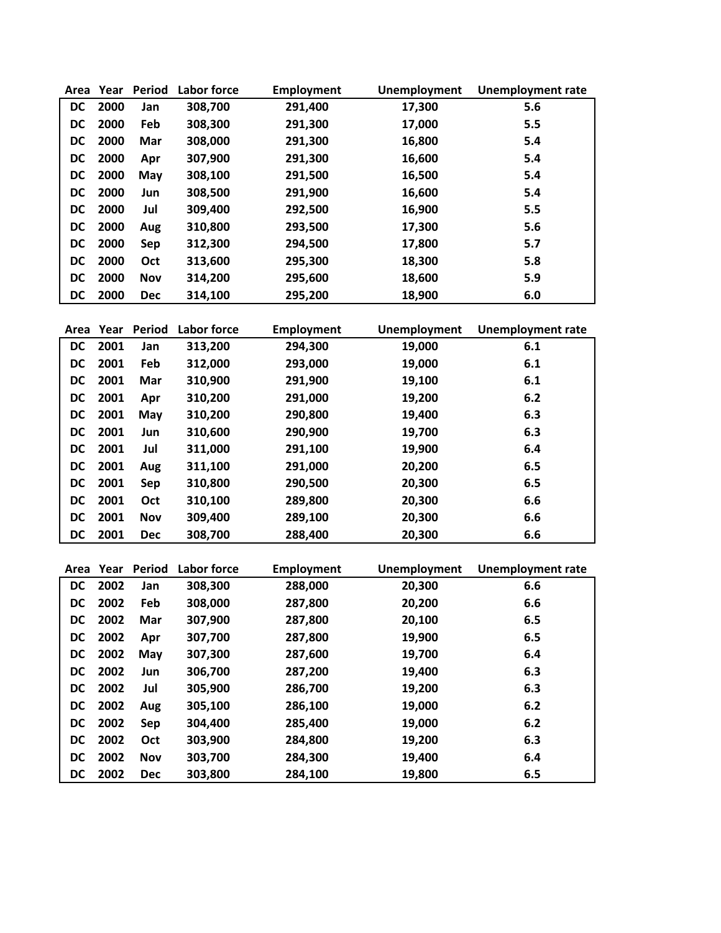| Area      | Year      | <b>Period</b> | Labor force        | <b>Employment</b> | Unemployment        | <b>Unemployment rate</b> |
|-----------|-----------|---------------|--------------------|-------------------|---------------------|--------------------------|
| DC        | 2000      | Jan           | 308,700            | 291,400           | 17,300              | 5.6                      |
| DC        | 2000      | Feb           | 308,300            | 291,300           | 17,000              | 5.5                      |
| DC        | 2000      | Mar           | 308,000            | 291,300           | 16,800              | 5.4                      |
| DC        | 2000      | Apr           | 307,900            | 291,300           | 16,600              | 5.4                      |
| DC        | 2000      | May           | 308,100            | 291,500           | 16,500              | 5.4                      |
| DC        | 2000      | Jun           | 308,500            | 291,900           | 16,600              | 5.4                      |
| DC        | 2000      | Jul           | 309,400            | 292,500           | 16,900              | 5.5                      |
| DC        | 2000      | Aug           | 310,800            | 293,500           | 17,300              | 5.6                      |
| DC        | 2000      | Sep           | 312,300            | 294,500           | 17,800              | 5.7                      |
| DC        | 2000      | Oct           | 313,600            | 295,300           | 18,300              | 5.8                      |
| DC        | 2000      | <b>Nov</b>    | 314,200            | 295,600           | 18,600              | 5.9                      |
| DC        | 2000      | <b>Dec</b>    | 314,100            | 295,200           | 18,900              | 6.0                      |
|           |           |               |                    |                   |                     |                          |
|           | Area Year | <b>Period</b> | <b>Labor force</b> | Employment        | <b>Unemployment</b> | <b>Unemployment rate</b> |
| <b>DC</b> | 2001      | Jan           | 313,200            | 294,300           | 19,000              | 6.1                      |
| DC        | 2001      | Feb           | 312,000            | 293,000           | 19,000              | 6.1                      |

| DC.       | 2001 | Feb        | 312,000 | 293,000 | 19,000 | 6.1 |
|-----------|------|------------|---------|---------|--------|-----|
| DC        | 2001 | Mar        | 310,900 | 291,900 | 19,100 | 6.1 |
| DC.       | 2001 | Apr        | 310,200 | 291,000 | 19,200 | 6.2 |
| DC        | 2001 | May        | 310,200 | 290,800 | 19,400 | 6.3 |
| DC.       | 2001 | Jun        | 310,600 | 290,900 | 19,700 | 6.3 |
| DC.       | 2001 | Jul        | 311,000 | 291,100 | 19,900 | 6.4 |
| DC .      | 2001 | Aug        | 311,100 | 291,000 | 20,200 | 6.5 |
| DC.       | 2001 | <b>Sep</b> | 310,800 | 290,500 | 20,300 | 6.5 |
| DC        | 2001 | <b>Oct</b> | 310,100 | 289,800 | 20,300 | 6.6 |
| DC        | 2001 | <b>Nov</b> | 309,400 | 289,100 | 20,300 | 6.6 |
| <b>DC</b> | 2001 | <b>Dec</b> | 308,700 | 288,400 | 20,300 | 6.6 |

| Area | Year | <b>Period</b> | Labor force | <b>Employment</b> | <b>Unemployment</b> | <b>Unemployment rate</b> |
|------|------|---------------|-------------|-------------------|---------------------|--------------------------|
| DC   | 2002 | Jan           | 308,300     | 288,000           | 20,300              | 6.6                      |
| DC   | 2002 | Feb           | 308,000     | 287,800           | 20,200              | 6.6                      |
| DC.  | 2002 | Mar           | 307,900     | 287,800           | 20,100              | 6.5                      |
| DC   | 2002 | Apr           | 307,700     | 287,800           | 19,900              | 6.5                      |
| DC   | 2002 | May           | 307,300     | 287,600           | 19,700              | 6.4                      |
| DC   | 2002 | Jun           | 306,700     | 287,200           | 19,400              | 6.3                      |
| DC   | 2002 | Jul           | 305,900     | 286,700           | 19,200              | 6.3                      |
| DC   | 2002 | Aug           | 305,100     | 286,100           | 19,000              | 6.2                      |
| DC   | 2002 | <b>Sep</b>    | 304,400     | 285,400           | 19,000              | 6.2                      |
| DC   | 2002 | <b>Oct</b>    | 303,900     | 284,800           | 19,200              | 6.3                      |
| DC   | 2002 | Nov           | 303,700     | 284,300           | 19,400              | 6.4                      |
| DC   | 2002 | <b>Dec</b>    | 303,800     | 284,100           | 19,800              | 6.5                      |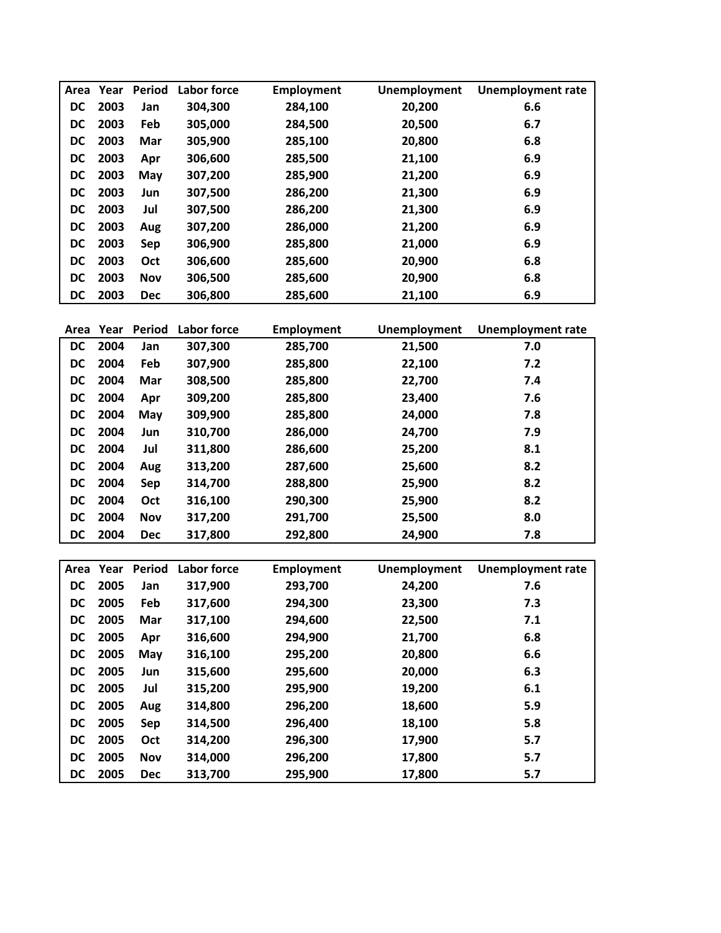| Area      | Year | Period     | Labor force | <b>Employment</b> | Unemployment | <b>Unemployment rate</b> |
|-----------|------|------------|-------------|-------------------|--------------|--------------------------|
| <b>DC</b> | 2003 | Jan        | 304,300     | 284,100           | 20,200       | 6.6                      |
| <b>DC</b> | 2003 | Feb        | 305,000     | 284,500           | 20,500       | 6.7                      |
| <b>DC</b> | 2003 | Mar        | 305,900     | 285,100           | 20,800       | 6.8                      |
| <b>DC</b> | 2003 | Apr        | 306,600     | 285,500           | 21,100       | 6.9                      |
| <b>DC</b> | 2003 | May        | 307,200     | 285,900           | 21,200       | 6.9                      |
| <b>DC</b> | 2003 | Jun        | 307,500     | 286,200           | 21,300       | 6.9                      |
| <b>DC</b> | 2003 | Jul        | 307,500     | 286,200           | 21,300       | 6.9                      |
| <b>DC</b> | 2003 | Aug        | 307,200     | 286,000           | 21,200       | 6.9                      |
| <b>DC</b> | 2003 | Sep        | 306,900     | 285,800           | 21,000       | 6.9                      |
| DC        | 2003 | Oct        | 306,600     | 285,600           | 20,900       | 6.8                      |
| <b>DC</b> | 2003 | <b>Nov</b> | 306,500     | 285,600           | 20,900       | 6.8                      |
| <b>DC</b> | 2003 | <b>Dec</b> | 306,800     | 285,600           | 21,100       | 6.9                      |

| Area      | Year | <b>Period</b> | Labor force | <b>Employment</b> | <b>Unemployment</b> | <b>Unemployment rate</b> |
|-----------|------|---------------|-------------|-------------------|---------------------|--------------------------|
| <b>DC</b> | 2004 | Jan           | 307,300     | 285,700           | 21,500              | 7.0                      |
| <b>DC</b> | 2004 | Feb           | 307,900     | 285,800           | 22,100              | 7.2                      |
| <b>DC</b> | 2004 | Mar           | 308,500     | 285,800           | 22,700              | 7.4                      |
| <b>DC</b> | 2004 | Apr           | 309,200     | 285,800           | 23,400              | 7.6                      |
| <b>DC</b> | 2004 | May           | 309,900     | 285,800           | 24,000              | 7.8                      |
| <b>DC</b> | 2004 | Jun           | 310,700     | 286,000           | 24,700              | 7.9                      |
| <b>DC</b> | 2004 | Jul           | 311,800     | 286,600           | 25,200              | 8.1                      |
| <b>DC</b> | 2004 | Aug           | 313,200     | 287,600           | 25,600              | 8.2                      |
| <b>DC</b> | 2004 | Sep           | 314,700     | 288,800           | 25,900              | 8.2                      |
| <b>DC</b> | 2004 | Oct           | 316,100     | 290,300           | 25,900              | 8.2                      |
| <b>DC</b> | 2004 | <b>Nov</b>    | 317,200     | 291,700           | 25,500              | 8.0                      |
| <b>DC</b> | 2004 | <b>Dec</b>    | 317,800     | 292,800           | 24,900              | 7.8                      |

| Area      | Year | <b>Period</b> | Labor force | Employment | Unemployment | <b>Unemployment rate</b> |
|-----------|------|---------------|-------------|------------|--------------|--------------------------|
| <b>DC</b> | 2005 | Jan           | 317,900     | 293,700    | 24,200       | 7.6                      |
| <b>DC</b> | 2005 | Feb           | 317,600     | 294,300    | 23,300       | 7.3                      |
| <b>DC</b> | 2005 | Mar           | 317,100     | 294,600    | 22,500       | 7.1                      |
| DC        | 2005 | Apr           | 316,600     | 294,900    | 21,700       | 6.8                      |
| DC        | 2005 | May           | 316,100     | 295,200    | 20,800       | 6.6                      |
| <b>DC</b> | 2005 | Jun           | 315,600     | 295,600    | 20,000       | 6.3                      |
| <b>DC</b> | 2005 | Jul           | 315.200     | 295,900    | 19,200       | 6.1                      |
| <b>DC</b> | 2005 | Aug           | 314,800     | 296,200    | 18,600       | 5.9                      |
| <b>DC</b> | 2005 | Sep           | 314,500     | 296,400    | 18,100       | 5.8                      |
| <b>DC</b> | 2005 | Oct           | 314.200     | 296,300    | 17,900       | 5.7                      |
| <b>DC</b> | 2005 | <b>Nov</b>    | 314,000     | 296,200    | 17,800       | 5.7                      |
| <b>DC</b> | 2005 | <b>Dec</b>    | 313,700     | 295,900    | 17,800       | 5.7                      |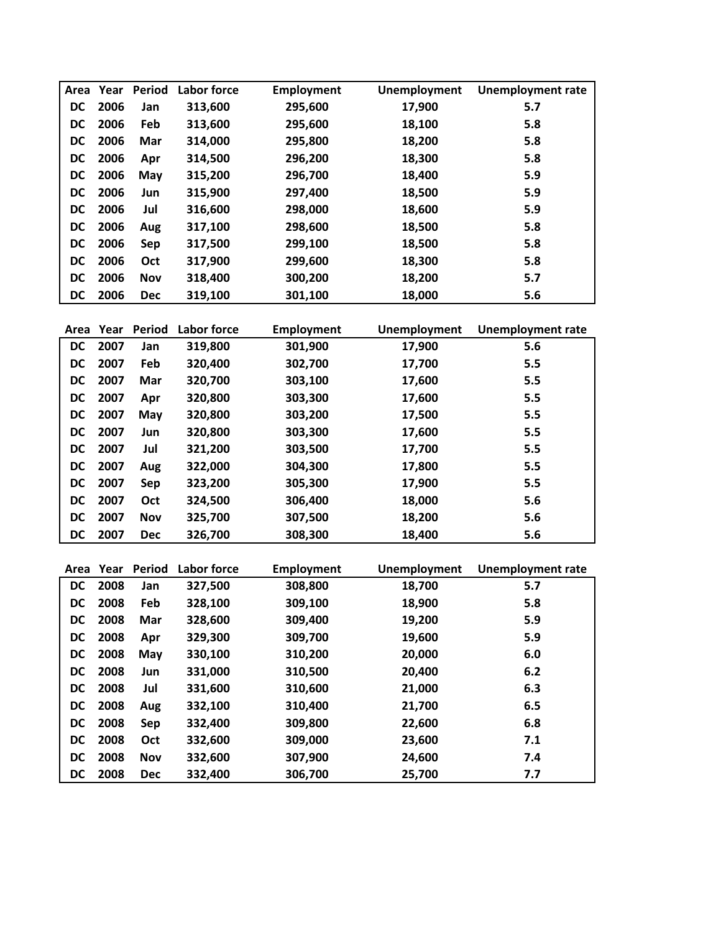| Area      | Year | Period     | Labor force | <b>Employment</b> | Unemployment | <b>Unemployment rate</b> |
|-----------|------|------------|-------------|-------------------|--------------|--------------------------|
| <b>DC</b> | 2006 | Jan        | 313,600     | 295,600           | 17,900       | 5.7                      |
| <b>DC</b> | 2006 | Feb        | 313,600     | 295,600           | 18,100       | 5.8                      |
| <b>DC</b> | 2006 | Mar        | 314,000     | 295,800           | 18,200       | 5.8                      |
| DC        | 2006 | Apr        | 314,500     | 296,200           | 18,300       | 5.8                      |
| <b>DC</b> | 2006 | May        | 315,200     | 296,700           | 18,400       | 5.9                      |
| <b>DC</b> | 2006 | Jun        | 315,900     | 297,400           | 18,500       | 5.9                      |
| <b>DC</b> | 2006 | Jul        | 316,600     | 298,000           | 18,600       | 5.9                      |
| <b>DC</b> | 2006 | Aug        | 317,100     | 298,600           | 18,500       | 5.8                      |
| <b>DC</b> | 2006 | Sep        | 317,500     | 299,100           | 18,500       | 5.8                      |
| <b>DC</b> | 2006 | Oct        | 317,900     | 299,600           | 18,300       | 5.8                      |
| <b>DC</b> | 2006 | <b>Nov</b> | 318,400     | 300,200           | 18,200       | 5.7                      |
| <b>DC</b> | 2006 | <b>Dec</b> | 319,100     | 301,100           | 18,000       | 5.6                      |

| Area      | Year | Period     | Labor force | <b>Employment</b> | <b>Unemployment</b> | <b>Unemployment rate</b> |
|-----------|------|------------|-------------|-------------------|---------------------|--------------------------|
| <b>DC</b> | 2007 | Jan        | 319,800     | 301,900           | 17,900              | 5.6                      |
| <b>DC</b> | 2007 | Feb        | 320,400     | 302,700           | 17,700              | 5.5                      |
| DC.       | 2007 | Mar        | 320,700     | 303,100           | 17,600              | 5.5                      |
| DC        | 2007 | Apr        | 320,800     | 303,300           | 17,600              | 5.5                      |
| DC        | 2007 | May        | 320,800     | 303,200           | 17,500              | 5.5                      |
| <b>DC</b> | 2007 | Jun        | 320,800     | 303,300           | 17,600              | 5.5                      |
| DC.       | 2007 | Jul        | 321,200     | 303,500           | 17,700              | 5.5                      |
| DC        | 2007 | Aug        | 322,000     | 304,300           | 17,800              | 5.5                      |
| DC        | 2007 | Sep        | 323,200     | 305,300           | 17,900              | 5.5                      |
| <b>DC</b> | 2007 | Oct        | 324,500     | 306,400           | 18,000              | 5.6                      |
| <b>DC</b> | 2007 | <b>Nov</b> | 325,700     | 307,500           | 18,200              | 5.6                      |
| <b>DC</b> | 2007 | <b>Dec</b> | 326,700     | 308,300           | 18,400              | 5.6                      |

| Area      | Year | <b>Period</b> | Labor force | <b>Employment</b> | Unemployment | <b>Unemployment rate</b> |
|-----------|------|---------------|-------------|-------------------|--------------|--------------------------|
| DC.       | 2008 | Jan           | 327,500     | 308,800           | 18,700       | 5.7                      |
| DC        | 2008 | Feb           | 328,100     | 309,100           | 18,900       | 5.8                      |
| DC.       | 2008 | Mar           | 328,600     | 309,400           | 19,200       | 5.9                      |
| DC        | 2008 | Apr           | 329,300     | 309,700           | 19,600       | 5.9                      |
| DC        | 2008 | May           | 330,100     | 310,200           | 20,000       | 6.0                      |
| <b>DC</b> | 2008 | Jun           | 331,000     | 310,500           | 20,400       | 6.2                      |
| DC        | 2008 | Jul           | 331,600     | 310,600           | 21,000       | 6.3                      |
| DC        | 2008 | Aug           | 332,100     | 310,400           | 21,700       | 6.5                      |
| DC        | 2008 | <b>Sep</b>    | 332,400     | 309,800           | 22,600       | 6.8                      |
| DC        | 2008 | Oct           | 332,600     | 309,000           | 23,600       | 7.1                      |
| DC        | 2008 | Nov           | 332,600     | 307,900           | 24,600       | 7.4                      |
| <b>DC</b> | 2008 | <b>Dec</b>    | 332,400     | 306,700           | 25,700       | 7.7                      |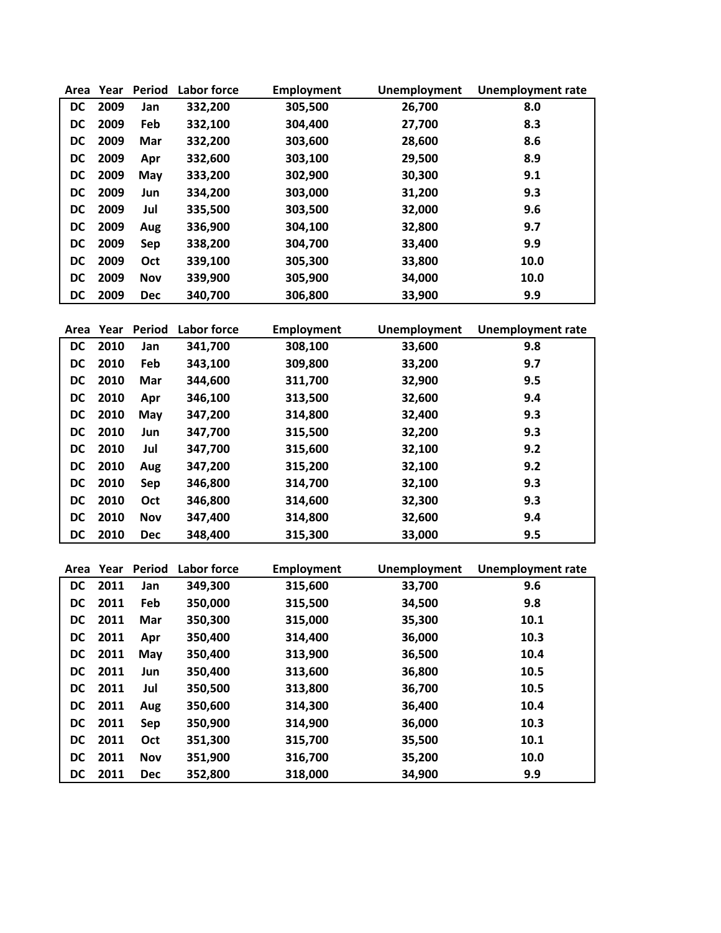| Area      | Year | Period     | Labor force | <b>Employment</b> | Unemployment | <b>Unemployment rate</b> |
|-----------|------|------------|-------------|-------------------|--------------|--------------------------|
| DC        | 2009 | Jan        | 332,200     | 305,500           | 26,700       | 8.0                      |
| DC        | 2009 | Feb        | 332,100     | 304,400           | 27,700       | 8.3                      |
| DC        | 2009 | Mar        | 332,200     | 303,600           | 28,600       | 8.6                      |
| DC        | 2009 | Apr        | 332,600     | 303,100           | 29,500       | 8.9                      |
| DC        | 2009 | May        | 333,200     | 302,900           | 30,300       | 9.1                      |
| DC        | 2009 | Jun        | 334,200     | 303,000           | 31,200       | 9.3                      |
| DC        | 2009 | Jul        | 335,500     | 303,500           | 32,000       | 9.6                      |
| DC        | 2009 | Aug        | 336,900     | 304,100           | 32,800       | 9.7                      |
| DC        | 2009 | Sep        | 338,200     | 304,700           | 33,400       | 9.9                      |
| <b>DC</b> | 2009 | Oct        | 339,100     | 305,300           | 33,800       | 10.0                     |
| <b>DC</b> | 2009 | <b>Nov</b> | 339,900     | 305,900           | 34,000       | 10.0                     |
| DC        | 2009 | <b>Dec</b> | 340,700     | 306,800           | 33,900       | 9.9                      |

| Area      | Year | Period     | <b>Labor force</b> | Employment | <b>Unemployment</b> | <b>Unemployment rate</b> |
|-----------|------|------------|--------------------|------------|---------------------|--------------------------|
| <b>DC</b> | 2010 | Jan        | 341,700            | 308,100    | 33,600              | 9.8                      |
| <b>DC</b> | 2010 | Feb        | 343,100            | 309,800    | 33,200              | 9.7                      |
| DC        | 2010 | Mar        | 344,600            | 311,700    | 32,900              | 9.5                      |
| DC        | 2010 | Apr        | 346,100            | 313,500    | 32,600              | 9.4                      |
| DC        | 2010 | May        | 347,200            | 314,800    | 32,400              | 9.3                      |
| DC        | 2010 | Jun        | 347,700            | 315,500    | 32,200              | 9.3                      |
| DC        | 2010 | Jul        | 347,700            | 315,600    | 32,100              | 9.2                      |
| DC        | 2010 | Aug        | 347,200            | 315,200    | 32,100              | 9.2                      |
| DC        | 2010 | Sep        | 346,800            | 314,700    | 32,100              | 9.3                      |
| <b>DC</b> | 2010 | Oct        | 346,800            | 314,600    | 32,300              | 9.3                      |
| <b>DC</b> | 2010 | <b>Nov</b> | 347,400            | 314,800    | 32,600              | 9.4                      |
| <b>DC</b> | 2010 | <b>Dec</b> | 348,400            | 315,300    | 33,000              | 9.5                      |

| Area      | Year | Period     | Labor force | <b>Employment</b> | <b>Unemployment</b> | <b>Unemployment rate</b> |
|-----------|------|------------|-------------|-------------------|---------------------|--------------------------|
| DC.       | 2011 | Jan        | 349,300     | 315,600           | 33,700              | 9.6                      |
| DC        | 2011 | Feb        | 350,000     | 315,500           | 34,500              | 9.8                      |
| DC        | 2011 | Mar        | 350,300     | 315,000           | 35,300              | 10.1                     |
| DC        | 2011 | Apr        | 350,400     | 314,400           | 36,000              | 10.3                     |
| DC        | 2011 | May        | 350,400     | 313,900           | 36,500              | 10.4                     |
| <b>DC</b> | 2011 | Jun        | 350,400     | 313,600           | 36,800              | 10.5                     |
| DC        | 2011 | Jul        | 350,500     | 313,800           | 36,700              | 10.5                     |
| <b>DC</b> | 2011 | Aug        | 350,600     | 314,300           | 36,400              | 10.4                     |
| DC        | 2011 | Sep        | 350,900     | 314,900           | 36,000              | 10.3                     |
| <b>DC</b> | 2011 | Oct        | 351,300     | 315,700           | 35,500              | 10.1                     |
| DC        | 2011 | <b>Nov</b> | 351,900     | 316,700           | 35,200              | 10.0                     |
| <b>DC</b> | 2011 | <b>Dec</b> | 352,800     | 318,000           | 34,900              | 9.9                      |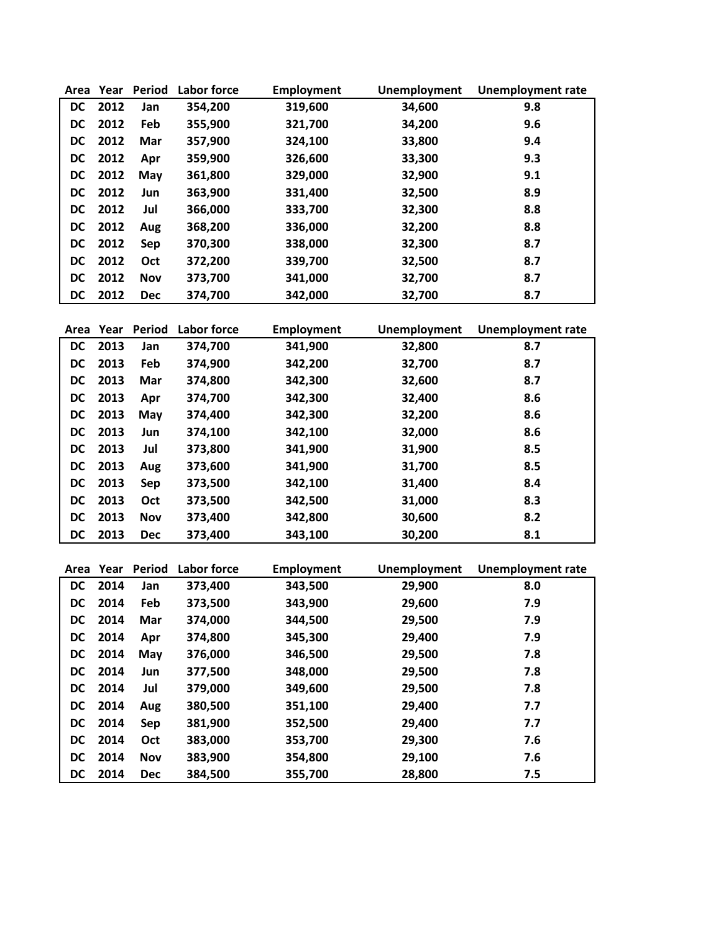| Area      | Year | <b>Period</b> | <b>Labor force</b> | Employment | <b>Unemployment</b> | <b>Unemployment rate</b> |
|-----------|------|---------------|--------------------|------------|---------------------|--------------------------|
| DC        | 2012 | Jan           | 354,200            | 319,600    | 34,600              | 9.8                      |
| DC        | 2012 | Feb           | 355,900            | 321,700    | 34,200              | 9.6                      |
| DC        | 2012 | Mar           | 357,900            | 324,100    | 33,800              | 9.4                      |
| DC        | 2012 | Apr           | 359,900            | 326,600    | 33,300              | 9.3                      |
| DC        | 2012 | May           | 361,800            | 329,000    | 32,900              | 9.1                      |
| DC        | 2012 | Jun           | 363,900            | 331,400    | 32,500              | 8.9                      |
| DC        | 2012 | Jul           | 366,000            | 333,700    | 32,300              | 8.8                      |
| DC        | 2012 | Aug           | 368,200            | 336,000    | 32,200              | 8.8                      |
| DC        | 2012 | Sep           | 370,300            | 338,000    | 32,300              | 8.7                      |
| <b>DC</b> | 2012 | <b>Oct</b>    | 372,200            | 339,700    | 32,500              | 8.7                      |
| DC        | 2012 | <b>Nov</b>    | 373,700            | 341,000    | 32,700              | 8.7                      |
| <b>DC</b> | 2012 | <b>Dec</b>    | 374.700            | 342,000    | 32,700              | 8.7                      |

| Area      | Year | Period     | Labor force | <b>Employment</b> | <b>Unemployment</b> | <b>Unemployment rate</b> |
|-----------|------|------------|-------------|-------------------|---------------------|--------------------------|
| DC        | 2013 | Jan        | 374,700     | 341,900           | 32,800              | 8.7                      |
| <b>DC</b> | 2013 | Feb        | 374,900     | 342,200           | 32,700              | 8.7                      |
| DC        | 2013 | Mar        | 374,800     | 342,300           | 32,600              | 8.7                      |
| DC.       | 2013 | Apr        | 374,700     | 342,300           | 32,400              | 8.6                      |
| DC        | 2013 | May        | 374,400     | 342,300           | 32,200              | 8.6                      |
| DC.       | 2013 | Jun        | 374,100     | 342,100           | 32,000              | 8.6                      |
| DC        | 2013 | Jul        | 373,800     | 341,900           | 31,900              | 8.5                      |
| DC        | 2013 | Aug        | 373,600     | 341,900           | 31,700              | 8.5                      |
| DC        | 2013 | Sep        | 373,500     | 342,100           | 31,400              | 8.4                      |
| <b>DC</b> | 2013 | Oct        | 373,500     | 342,500           | 31,000              | 8.3                      |
| <b>DC</b> | 2013 | <b>Nov</b> | 373,400     | 342,800           | 30,600              | 8.2                      |
| <b>DC</b> | 2013 | <b>Dec</b> | 373,400     | 343,100           | 30,200              | 8.1                      |

| Area | Year | <b>Period</b> | Labor force | <b>Employment</b> | <b>Unemployment</b> | <b>Unemployment rate</b> |
|------|------|---------------|-------------|-------------------|---------------------|--------------------------|
| DC   | 2014 | Jan           | 373,400     | 343,500           | 29,900              | 8.0                      |
| DC.  | 2014 | Feb           | 373,500     | 343,900           | 29,600              | 7.9                      |
| DC.  | 2014 | Mar           | 374,000     | 344,500           | 29,500              | 7.9                      |
| DC   | 2014 | Apr           | 374,800     | 345,300           | 29,400              | 7.9                      |
| DC   | 2014 | May           | 376,000     | 346,500           | 29,500              | 7.8                      |
| DC   | 2014 | Jun           | 377,500     | 348,000           | 29,500              | 7.8                      |
| DC.  | 2014 | Jul           | 379,000     | 349,600           | 29,500              | 7.8                      |
| DC   | 2014 | Aug           | 380,500     | 351,100           | 29,400              | 7.7                      |
| DC.  | 2014 | Sep           | 381,900     | 352,500           | 29,400              | 7.7                      |
| DC   | 2014 | <b>Oct</b>    | 383,000     | 353,700           | 29,300              | 7.6                      |
| DC   | 2014 | Nov           | 383,900     | 354,800           | 29,100              | 7.6                      |
| DC   | 2014 | <b>Dec</b>    | 384,500     | 355,700           | 28,800              | 7.5                      |